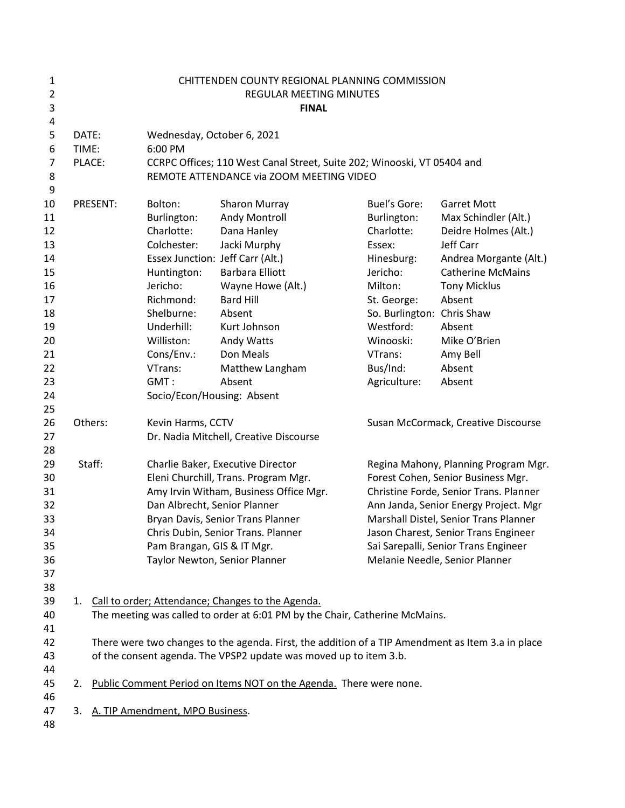| 1              | CHITTENDEN COUNTY REGIONAL PLANNING COMMISSION |                                                                                                   |                                                                         |                                                                    |                                      |                                        |  |  |
|----------------|------------------------------------------------|---------------------------------------------------------------------------------------------------|-------------------------------------------------------------------------|--------------------------------------------------------------------|--------------------------------------|----------------------------------------|--|--|
| $\overline{2}$ | <b>REGULAR MEETING MINUTES</b>                 |                                                                                                   |                                                                         |                                                                    |                                      |                                        |  |  |
| 3              |                                                |                                                                                                   |                                                                         | <b>FINAL</b>                                                       |                                      |                                        |  |  |
| 4<br>5         | DATE:                                          |                                                                                                   | Wednesday, October 6, 2021                                              |                                                                    |                                      |                                        |  |  |
| 6              | TIME:                                          |                                                                                                   | 6:00 PM                                                                 |                                                                    |                                      |                                        |  |  |
| 7              |                                                | PLACE:                                                                                            | CCRPC Offices; 110 West Canal Street, Suite 202; Winooski, VT 05404 and |                                                                    |                                      |                                        |  |  |
| 8<br>9         |                                                |                                                                                                   |                                                                         | REMOTE ATTENDANCE via ZOOM MEETING VIDEO                           |                                      |                                        |  |  |
| 10             |                                                | PRESENT:                                                                                          | Bolton:                                                                 | Sharon Murray                                                      | <b>Buel's Gore:</b>                  | <b>Garret Mott</b>                     |  |  |
| 11             |                                                |                                                                                                   | Burlington:                                                             | Andy Montroll                                                      | Burlington:                          | Max Schindler (Alt.)                   |  |  |
| 12             |                                                |                                                                                                   | Charlotte:                                                              | Dana Hanley                                                        | Charlotte:                           | Deidre Holmes (Alt.)                   |  |  |
| 13             |                                                |                                                                                                   | Colchester:                                                             | Jacki Murphy                                                       | Essex:                               | Jeff Carr                              |  |  |
| 14             |                                                |                                                                                                   | Essex Junction: Jeff Carr (Alt.)                                        |                                                                    | Hinesburg:                           | Andrea Morgante (Alt.)                 |  |  |
| 15             |                                                |                                                                                                   | Huntington:                                                             | <b>Barbara Elliott</b>                                             | Jericho:                             | <b>Catherine McMains</b>               |  |  |
| 16             |                                                |                                                                                                   | Jericho:                                                                | Wayne Howe (Alt.)                                                  | Milton:                              | <b>Tony Micklus</b>                    |  |  |
| 17             |                                                |                                                                                                   | Richmond:                                                               | <b>Bard Hill</b>                                                   | St. George:                          | Absent                                 |  |  |
| 18             |                                                |                                                                                                   | Shelburne:                                                              | Absent                                                             | So. Burlington: Chris Shaw           |                                        |  |  |
| 19             |                                                |                                                                                                   | Underhill:                                                              | Kurt Johnson                                                       | Westford:                            | Absent                                 |  |  |
| 20             |                                                |                                                                                                   | Williston:                                                              | Andy Watts                                                         | Winooski:                            | Mike O'Brien                           |  |  |
| 21             |                                                |                                                                                                   | Cons/Env.:                                                              | Don Meals                                                          | VTrans:                              | Amy Bell                               |  |  |
| 22             |                                                |                                                                                                   | VTrans:                                                                 | Matthew Langham                                                    | Bus/Ind:                             | Absent                                 |  |  |
| 23             |                                                |                                                                                                   | GMT:                                                                    | Absent                                                             | Agriculture:                         | Absent                                 |  |  |
| 24             |                                                |                                                                                                   | Socio/Econ/Housing: Absent                                              |                                                                    |                                      |                                        |  |  |
| 25             |                                                |                                                                                                   |                                                                         |                                                                    |                                      |                                        |  |  |
| 26             | Others:                                        |                                                                                                   | Kevin Harms, CCTV                                                       |                                                                    | Susan McCormack, Creative Discourse  |                                        |  |  |
| 27             |                                                |                                                                                                   |                                                                         | Dr. Nadia Mitchell, Creative Discourse                             |                                      |                                        |  |  |
| 28             |                                                |                                                                                                   |                                                                         |                                                                    |                                      |                                        |  |  |
| 29             | Staff:                                         |                                                                                                   | Charlie Baker, Executive Director                                       |                                                                    | Regina Mahony, Planning Program Mgr. |                                        |  |  |
| 30             |                                                |                                                                                                   | Eleni Churchill, Trans. Program Mgr.                                    |                                                                    | Forest Cohen, Senior Business Mgr.   |                                        |  |  |
| 31             |                                                |                                                                                                   |                                                                         | Amy Irvin Witham, Business Office Mgr.                             |                                      | Christine Forde, Senior Trans. Planner |  |  |
| 32             |                                                |                                                                                                   | Dan Albrecht, Senior Planner                                            |                                                                    |                                      | Ann Janda, Senior Energy Project. Mgr  |  |  |
| 33             |                                                |                                                                                                   |                                                                         | Bryan Davis, Senior Trans Planner                                  |                                      | Marshall Distel, Senior Trans Planner  |  |  |
| 34             |                                                |                                                                                                   |                                                                         | Chris Dubin, Senior Trans. Planner                                 |                                      | Jason Charest, Senior Trans Engineer   |  |  |
| 35             |                                                |                                                                                                   | Pam Brangan, GIS & IT Mgr.                                              |                                                                    |                                      | Sai Sarepalli, Senior Trans Engineer   |  |  |
| 36             |                                                |                                                                                                   | Taylor Newton, Senior Planner                                           |                                                                    |                                      | Melanie Needle, Senior Planner         |  |  |
| 37             |                                                |                                                                                                   |                                                                         |                                                                    |                                      |                                        |  |  |
| 38             |                                                |                                                                                                   |                                                                         |                                                                    |                                      |                                        |  |  |
| 39             | 1.                                             |                                                                                                   |                                                                         | Call to order; Attendance; Changes to the Agenda.                  |                                      |                                        |  |  |
| 40             |                                                | The meeting was called to order at 6:01 PM by the Chair, Catherine McMains.                       |                                                                         |                                                                    |                                      |                                        |  |  |
| 41             |                                                |                                                                                                   |                                                                         |                                                                    |                                      |                                        |  |  |
| 42             |                                                | There were two changes to the agenda. First, the addition of a TIP Amendment as Item 3.a in place |                                                                         |                                                                    |                                      |                                        |  |  |
| 43             |                                                | of the consent agenda. The VPSP2 update was moved up to item 3.b.                                 |                                                                         |                                                                    |                                      |                                        |  |  |
| 44             |                                                |                                                                                                   |                                                                         |                                                                    |                                      |                                        |  |  |
| 45             | 2.                                             |                                                                                                   |                                                                         | Public Comment Period on Items NOT on the Agenda. There were none. |                                      |                                        |  |  |
| 46             |                                                |                                                                                                   |                                                                         |                                                                    |                                      |                                        |  |  |
| 47             | 3.                                             |                                                                                                   | A. TIP Amendment, MPO Business.                                         |                                                                    |                                      |                                        |  |  |
| 48             |                                                |                                                                                                   |                                                                         |                                                                    |                                      |                                        |  |  |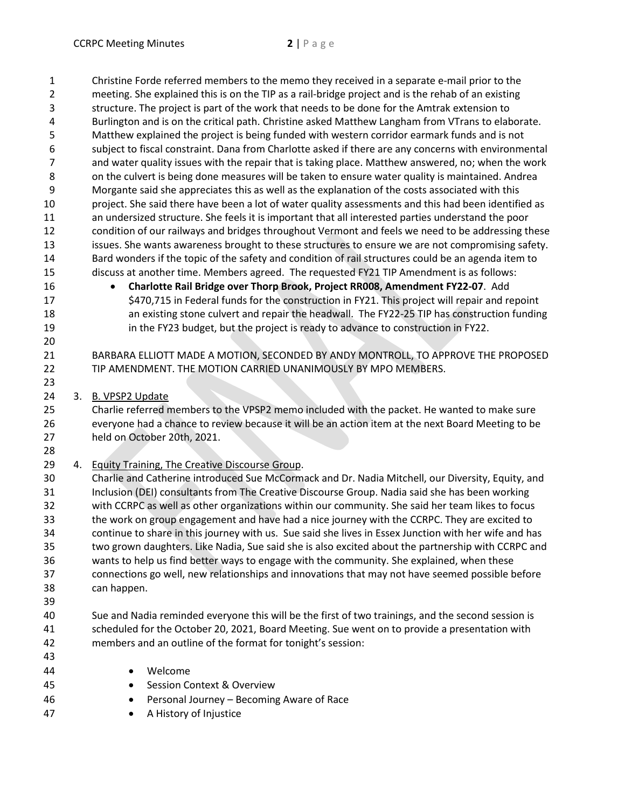Christine Forde referred members to the memo they received in a separate e-mail prior to the meeting. She explained this is on the TIP as a rail-bridge project and is the rehab of an existing structure. The project is part of the work that needs to be done for the Amtrak extension to Burlington and is on the critical path. Christine asked Matthew Langham from VTrans to elaborate. Matthew explained the project is being funded with western corridor earmark funds and is not subject to fiscal constraint. Dana from Charlotte asked if there are any concerns with environmental and water quality issues with the repair that is taking place. Matthew answered, no; when the work 8 on the culvert is being done measures will be taken to ensure water quality is maintained. Andrea Morgante said she appreciates this as well as the explanation of the costs associated with this project. She said there have been a lot of water quality assessments and this had been identified as an undersized structure. She feels it is important that all interested parties understand the poor condition of our railways and bridges throughout Vermont and feels we need to be addressing these issues. She wants awareness brought to these structures to ensure we are not compromising safety. Bard wonders if the topic of the safety and condition of rail structures could be an agenda item to discuss at another time. Members agreed. The requested FY21 TIP Amendment is as follows: • **Charlotte Rail Bridge over Thorp Brook, Project RR008, Amendment FY22-07**. Add \$470,715 in Federal funds for the construction in FY21. This project will repair and repoint an existing stone culvert and repair the headwall. The FY22-25 TIP has construction funding in the FY23 budget, but the project is ready to advance to construction in FY22. BARBARA ELLIOTT MADE A MOTION, SECONDED BY ANDY MONTROLL, TO APPROVE THE PROPOSED TIP AMENDMENT. THE MOTION CARRIED UNANIMOUSLY BY MPO MEMBERS. 3. B. VPSP2 Update Charlie referred members to the VPSP2 memo included with the packet. He wanted to make sure everyone had a chance to review because it will be an action item at the next Board Meeting to be held on October 20th, 2021. 29 4. Equity Training, The Creative Discourse Group. Charlie and Catherine introduced Sue McCormack and Dr. Nadia Mitchell, our Diversity, Equity, and Inclusion (DEI) consultants from The Creative Discourse Group. Nadia said she has been working with CCRPC as well as other organizations within our community. She said her team likes to focus the work on group engagement and have had a nice journey with the CCRPC. They are excited to continue to share in this journey with us. Sue said she lives in Essex Junction with her wife and has two grown daughters. Like Nadia, Sue said she is also excited about the partnership with CCRPC and wants to help us find better ways to engage with the community. She explained, when these connections go well, new relationships and innovations that may not have seemed possible before can happen. Sue and Nadia reminded everyone this will be the first of two trainings, and the second session is scheduled for the October 20, 2021, Board Meeting. Sue went on to provide a presentation with members and an outline of the format for tonight's session: • Welcome • Session Context & Overview • Personal Journey – Becoming Aware of Race 47 • A History of Injustice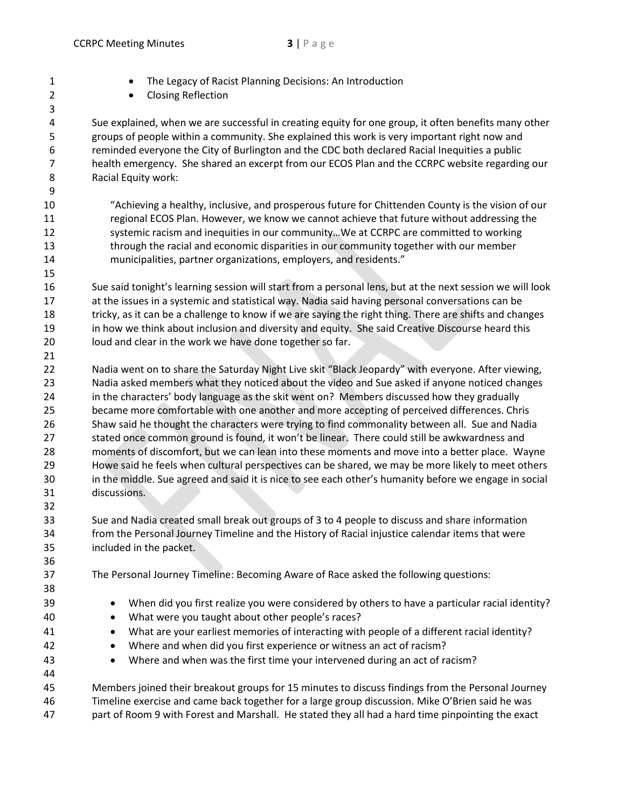**• The Legacy of Racist Planning Decisions: An Introduction**  • Closing Reflection Sue explained, when we are successful in creating equity for one group, it often benefits many other groups of people within a community. She explained this work is very important right now and reminded everyone the City of Burlington and the CDC both declared Racial Inequities a public health emergency. She shared an excerpt from our ECOS Plan and the CCRPC website regarding our Racial Equity work: "Achieving a healthy, inclusive, and prosperous future for Chittenden County is the vision of our regional ECOS Plan. However, we know we cannot achieve that future without addressing the 12 systemic racism and inequities in our community... We at CCRPC are committed to working through the racial and economic disparities in our community together with our member municipalities, partner organizations, employers, and residents." Sue said tonight's learning session will start from a personal lens, but at the next session we will look at the issues in a systemic and statistical way. Nadia said having personal conversations can be 18 tricky, as it can be a challenge to know if we are saying the right thing. There are shifts and changes in how we think about inclusion and diversity and equity. She said Creative Discourse heard this loud and clear in the work we have done together so far. 22 Nadia went on to share the Saturday Night Live skit "Black Jeopardy" with everyone. After viewing, Nadia asked members what they noticed about the video and Sue asked if anyone noticed changes in the characters' body language as the skit went on? Members discussed how they gradually became more comfortable with one another and more accepting of perceived differences. Chris Shaw said he thought the characters were trying to find commonality between all. Sue and Nadia stated once common ground is found, it won't be linear. There could still be awkwardness and moments of discomfort, but we can lean into these moments and move into a better place. Wayne Howe said he feels when cultural perspectives can be shared, we may be more likely to meet others in the middle. Sue agreed and said it is nice to see each other's humanity before we engage in social discussions. Sue and Nadia created small break out groups of 3 to 4 people to discuss and share information from the Personal Journey Timeline and the History of Racial injustice calendar items that were included in the packet. The Personal Journey Timeline: Becoming Aware of Race asked the following questions: 39 • When did you first realize you were considered by others to have a particular racial identity? 40 • What were you taught about other people's races? • What are your earliest memories of interacting with people of a different racial identity? • Where and when did you first experience or witness an act of racism? • Where and when was the first time your intervened during an act of racism?

 Members joined their breakout groups for 15 minutes to discuss findings from the Personal Journey Timeline exercise and came back together for a large group discussion. Mike O'Brien said he was part of Room 9 with Forest and Marshall. He stated they all had a hard time pinpointing the exact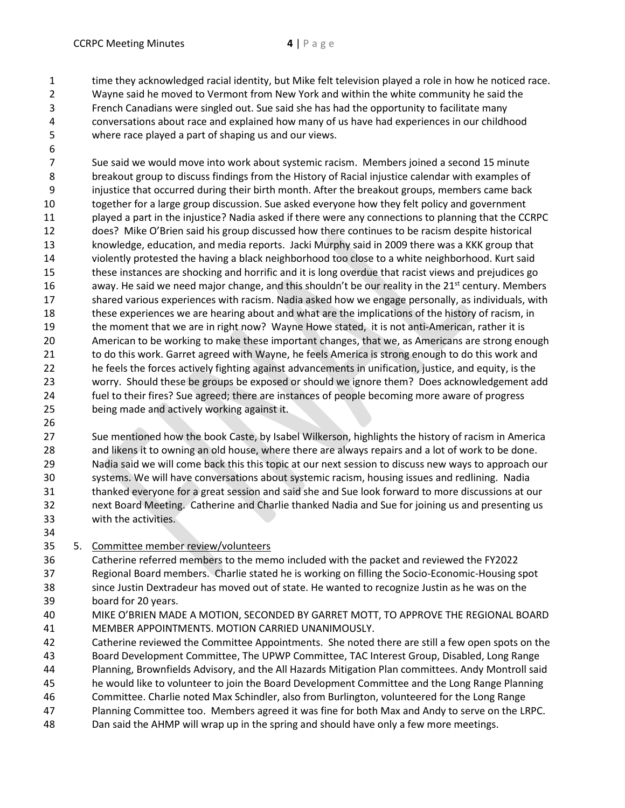time they acknowledged racial identity, but Mike felt television played a role in how he noticed race.

- Wayne said he moved to Vermont from New York and within the white community he said the French Canadians were singled out. Sue said she has had the opportunity to facilitate many conversations about race and explained how many of us have had experiences in our childhood where race played a part of shaping us and our views.
- 

 Sue said we would move into work about systemic racism. Members joined a second 15 minute breakout group to discuss findings from the History of Racial injustice calendar with examples of injustice that occurred during their birth month. After the breakout groups, members came back together for a large group discussion. Sue asked everyone how they felt policy and government played a part in the injustice? Nadia asked if there were any connections to planning that the CCRPC does? Mike O'Brien said his group discussed how there continues to be racism despite historical knowledge, education, and media reports. Jacki Murphy said in 2009 there was a KKK group that violently protested the having a black neighborhood too close to a white neighborhood. Kurt said these instances are shocking and horrific and it is long overdue that racist views and prejudices go 16 away. He said we need major change, and this shouldn't be our reality in the  $21<sup>st</sup>$  century. Members shared various experiences with racism. Nadia asked how we engage personally, as individuals, with these experiences we are hearing about and what are the implications of the history of racism, in the moment that we are in right now? Wayne Howe stated, it is not anti-American, rather it is American to be working to make these important changes, that we, as Americans are strong enough to do this work. Garret agreed with Wayne, he feels America is strong enough to do this work and he feels the forces actively fighting against advancements in unification, justice, and equity, is the worry. Should these be groups be exposed or should we ignore them? Does acknowledgement add fuel to their fires? Sue agreed; there are instances of people becoming more aware of progress being made and actively working against it.

 Sue mentioned how the book Caste, by Isabel Wilkerson, highlights the history of racism in America and likens it to owning an old house, where there are always repairs and a lot of work to be done. Nadia said we will come back this this topic at our next session to discuss new ways to approach our systems. We will have conversations about systemic racism, housing issues and redlining. Nadia thanked everyone for a great session and said she and Sue look forward to more discussions at our next Board Meeting. Catherine and Charlie thanked Nadia and Sue for joining us and presenting us with the activities.

- 
- 5. Committee member review/volunteers
- Catherine referred members to the memo included with the packet and reviewed the FY2022 Regional Board members. Charlie stated he is working on filling the Socio-Economic-Housing spot since Justin Dextradeur has moved out of state. He wanted to recognize Justin as he was on the board for 20 years.
- MIKE O'BRIEN MADE A MOTION, SECONDED BY GARRET MOTT, TO APPROVE THE REGIONAL BOARD MEMBER APPOINTMENTS. MOTION CARRIED UNANIMOUSLY.
- Catherine reviewed the Committee Appointments. She noted there are still a few open spots on the
- Board Development Committee, The UPWP Committee, TAC Interest Group, Disabled, Long Range
- Planning, Brownfields Advisory, and the All Hazards Mitigation Plan committees. Andy Montroll said
- he would like to volunteer to join the Board Development Committee and the Long Range Planning
- Committee. Charlie noted Max Schindler, also from Burlington, volunteered for the Long Range
- Planning Committee too. Members agreed it was fine for both Max and Andy to serve on the LRPC.
- Dan said the AHMP will wrap up in the spring and should have only a few more meetings.